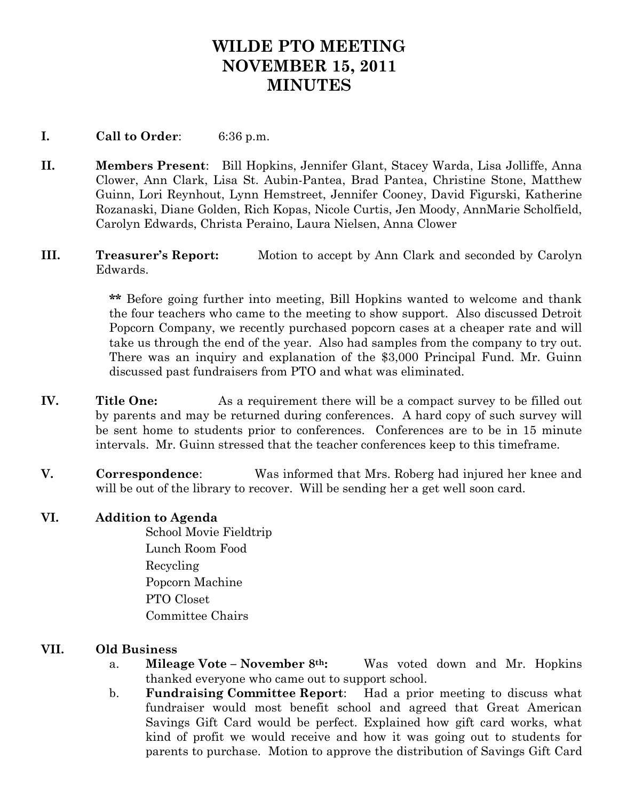# **WILDE PTO MEETING NOVEMBER 15, 2011 MINUTES**

### **I. Call to Order**: 6:36 p.m.

- **II. Members Present**: Bill Hopkins, Jennifer Glant, Stacey Warda, Lisa Jolliffe, Anna Clower, Ann Clark, Lisa St. Aubin-Pantea, Brad Pantea, Christine Stone, Matthew Guinn, Lori Reynhout, Lynn Hemstreet, Jennifer Cooney, David Figurski, Katherine Rozanaski, Diane Golden, Rich Kopas, Nicole Curtis, Jen Moody, AnnMarie Scholfield, Carolyn Edwards, Christa Peraino, Laura Nielsen, Anna Clower
- **III. Treasurer's Report:** Motion to accept by Ann Clark and seconded by Carolyn Edwards.

**\*\*** Before going further into meeting, Bill Hopkins wanted to welcome and thank the four teachers who came to the meeting to show support. Also discussed Detroit Popcorn Company, we recently purchased popcorn cases at a cheaper rate and will take us through the end of the year. Also had samples from the company to try out. There was an inquiry and explanation of the \$3,000 Principal Fund. Mr. Guinn discussed past fundraisers from PTO and what was eliminated.

- **IV.** Title One: As a requirement there will be a compact survey to be filled out by parents and may be returned during conferences. A hard copy of such survey will be sent home to students prior to conferences. Conferences are to be in 15 minute intervals. Mr. Guinn stressed that the teacher conferences keep to this timeframe.
- **V. Correspondence**: Was informed that Mrs. Roberg had injured her knee and will be out of the library to recover. Will be sending her a get well soon card.

#### **VI. Addition to Agenda**

School Movie Fieldtrip Lunch Room Food Recycling Popcorn Machine PTO Closet Committee Chairs

#### **VII. Old Business**

- a. **Mileage Vote – November 8th:** Was voted down and Mr. Hopkins thanked everyone who came out to support school.
- b. **Fundraising Committee Report**: Had a prior meeting to discuss what fundraiser would most benefit school and agreed that Great American Savings Gift Card would be perfect. Explained how gift card works, what kind of profit we would receive and how it was going out to students for parents to purchase. Motion to approve the distribution of Savings Gift Card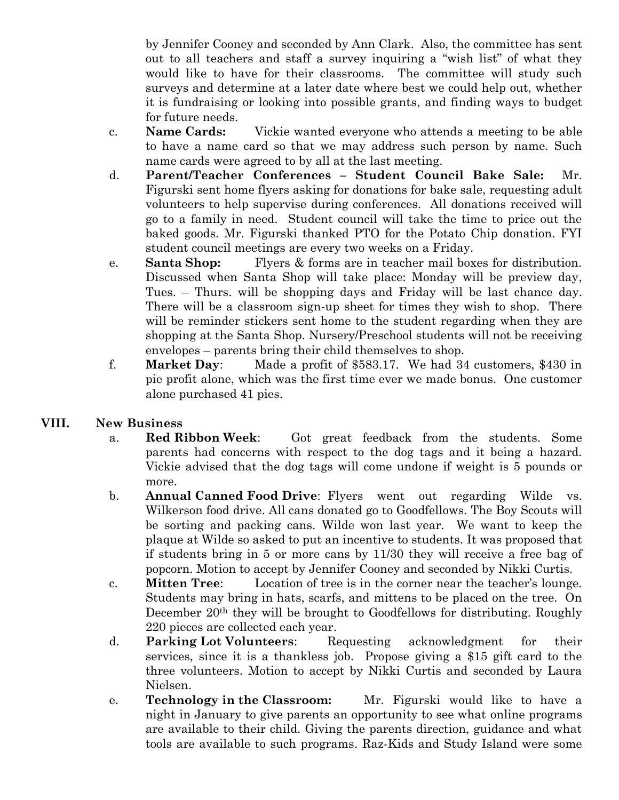by Jennifer Cooney and seconded by Ann Clark. Also, the committee has sent out to all teachers and staff a survey inquiring a "wish list" of what they would like to have for their classrooms. The committee will study such surveys and determine at a later date where best we could help out, whether it is fundraising or looking into possible grants, and finding ways to budget for future needs.

- c. **Name Cards:** Vickie wanted everyone who attends a meeting to be able to have a name card so that we may address such person by name. Such name cards were agreed to by all at the last meeting.
- d. **Parent/Teacher Conferences – Student Council Bake Sale:** Mr. Figurski sent home flyers asking for donations for bake sale, requesting adult volunteers to help supervise during conferences. All donations received will go to a family in need. Student council will take the time to price out the baked goods. Mr. Figurski thanked PTO for the Potato Chip donation. FYI student council meetings are every two weeks on a Friday.
- e. **Santa Shop:** Flyers & forms are in teacher mail boxes for distribution. Discussed when Santa Shop will take place: Monday will be preview day, Tues. – Thurs. will be shopping days and Friday will be last chance day. There will be a classroom sign-up sheet for times they wish to shop. There will be reminder stickers sent home to the student regarding when they are shopping at the Santa Shop. Nursery/Preschool students will not be receiving envelopes – parents bring their child themselves to shop.
- f. **Market Day**: Made a profit of \$583.17. We had 34 customers, \$430 in pie profit alone, which was the first time ever we made bonus. One customer alone purchased 41 pies.

## **VIII. New Business**

- a. **Red Ribbon Week**: Got great feedback from the students. Some parents had concerns with respect to the dog tags and it being a hazard. Vickie advised that the dog tags will come undone if weight is 5 pounds or more.
- b. **Annual Canned Food Drive**: Flyers went out regarding Wilde vs. Wilkerson food drive. All cans donated go to Goodfellows. The Boy Scouts will be sorting and packing cans. Wilde won last year. We want to keep the plaque at Wilde so asked to put an incentive to students. It was proposed that if students bring in 5 or more cans by 11/30 they will receive a free bag of popcorn. Motion to accept by Jennifer Cooney and seconded by Nikki Curtis.
- c. **Mitten Tree**: Location of tree is in the corner near the teacher's lounge. Students may bring in hats, scarfs, and mittens to be placed on the tree. On December 20<sup>th</sup> they will be brought to Goodfellows for distributing. Roughly 220 pieces are collected each year.
- d. **Parking Lot Volunteers**: Requesting acknowledgment for their services, since it is a thankless job. Propose giving a \$15 gift card to the three volunteers. Motion to accept by Nikki Curtis and seconded by Laura Nielsen.
- e. **Technology in the Classroom:** Mr. Figurski would like to have a night in January to give parents an opportunity to see what online programs are available to their child. Giving the parents direction, guidance and what tools are available to such programs. Raz-Kids and Study Island were some